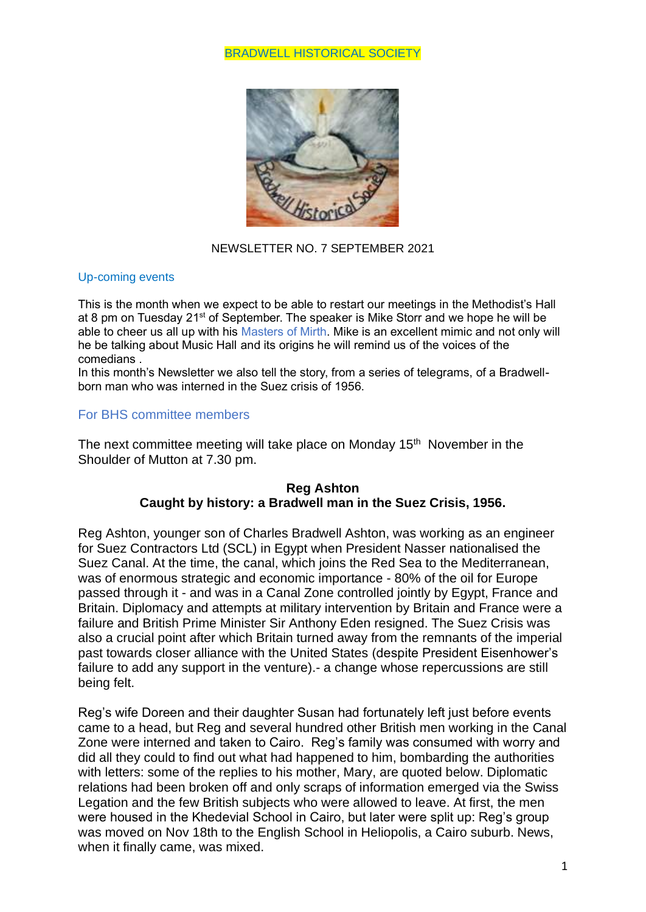### BRADWELL HISTORICAL SOCIETY



### NEWSLETTER NO. 7 SEPTEMBER 2021

#### Up-coming events

This is the month when we expect to be able to restart our meetings in the Methodist's Hall at 8 pm on Tuesday 21<sup>st</sup> of September. The speaker is Mike Storr and we hope he will be able to cheer us all up with his Masters of Mirth. Mike is an excellent mimic and not only will he be talking about Music Hall and its origins he will remind us of the voices of the comedians .

In this month's Newsletter we also tell the story, from a series of telegrams, of a Bradwellborn man who was interned in the Suez crisis of 1956.

## For BHS committee members

The next committee meeting will take place on Monday 15<sup>th</sup> November in the Shoulder of Mutton at 7.30 pm.

## **Reg Ashton Caught by history: a Bradwell man in the Suez Crisis, 1956.**

Reg Ashton, younger son of Charles Bradwell Ashton, was working as an engineer for Suez Contractors Ltd (SCL) in Egypt when President Nasser nationalised the Suez Canal. At the time, the canal, which joins the Red Sea to the Mediterranean, was of enormous strategic and economic importance - 80% of the oil for Europe passed through it - and was in a Canal Zone controlled jointly by Egypt, France and Britain. Diplomacy and attempts at military intervention by Britain and France were a failure and British Prime Minister Sir Anthony Eden resigned. The Suez Crisis was also a crucial point after which Britain turned away from the remnants of the imperial past towards closer alliance with the United States (despite President Eisenhower's failure to add any support in the venture).- a change whose repercussions are still being felt.

Reg's wife Doreen and their daughter Susan had fortunately left just before events came to a head, but Reg and several hundred other British men working in the Canal Zone were interned and taken to Cairo. Reg's family was consumed with worry and did all they could to find out what had happened to him, bombarding the authorities with letters: some of the replies to his mother, Mary, are quoted below. Diplomatic relations had been broken off and only scraps of information emerged via the Swiss Legation and the few British subjects who were allowed to leave. At first, the men were housed in the Khedevial School in Cairo, but later were split up: Reg's group was moved on Nov 18th to the English School in Heliopolis, a Cairo suburb. News, when it finally came, was mixed.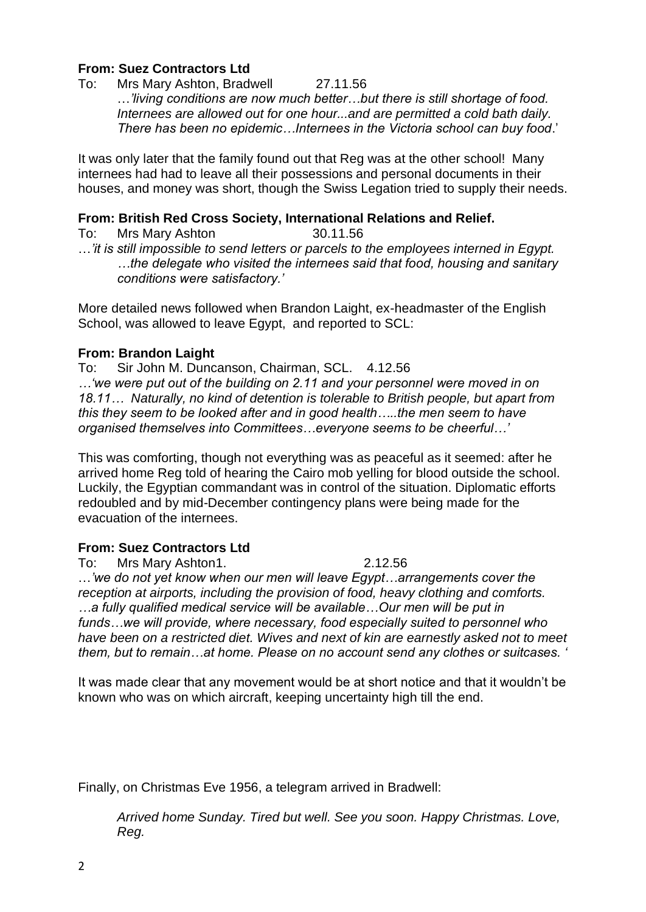# **From: Suez Contractors Ltd**

To: Mrs Mary Ashton, Bradwell 27.11.56 …*'living conditions are now much better…but there is still shortage of food. Internees are allowed out for one hour...and are permitted a cold bath daily. There has been no epidemic…Internees in the Victoria school can buy food*.'

It was only later that the family found out that Reg was at the other school! Many internees had had to leave all their possessions and personal documents in their houses, and money was short, though the Swiss Legation tried to supply their needs.

### **From: British Red Cross Society, International Relations and Relief.**

To: Mrs Mary Ashton 30.11.56 …*'it is still impossible to send letters or parcels to the employees interned in Egypt. …the delegate who visited the internees said that food, housing and sanitary conditions were satisfactory.'*

More detailed news followed when Brandon Laight, ex-headmaster of the English School, was allowed to leave Egypt, and reported to SCL:

## **From: Brandon Laight**

To: Sir John M. Duncanson, Chairman, SCL. 4.12.56

*…'we were put out of the building on 2.11 and your personnel were moved in on 18.11… Naturally, no kind of detention is tolerable to British people, but apart from this they seem to be looked after and in good health…..the men seem to have organised themselves into Committees…everyone seems to be cheerful…'*

This was comforting, though not everything was as peaceful as it seemed: after he arrived home Reg told of hearing the Cairo mob yelling for blood outside the school. Luckily, the Egyptian commandant was in control of the situation. Diplomatic efforts redoubled and by mid-December contingency plans were being made for the evacuation of the internees.

## **From: Suez Contractors Ltd**

To: Mrs Mary Ashton1. 2.12.56

…*'we do not yet know when our men will leave Egypt…arrangements cover the reception at airports, including the provision of food, heavy clothing and comforts. …a fully qualified medical service will be available…Our men will be put in funds…we will provide, where necessary, food especially suited to personnel who have been on a restricted diet. Wives and next of kin are earnestly asked not to meet them, but to remain…at home. Please on no account send any clothes or suitcases. '*

It was made clear that any movement would be at short notice and that it wouldn't be known who was on which aircraft, keeping uncertainty high till the end.

Finally, on Christmas Eve 1956, a telegram arrived in Bradwell:

*Arrived home Sunday. Tired but well. See you soon. Happy Christmas. Love, Reg.*